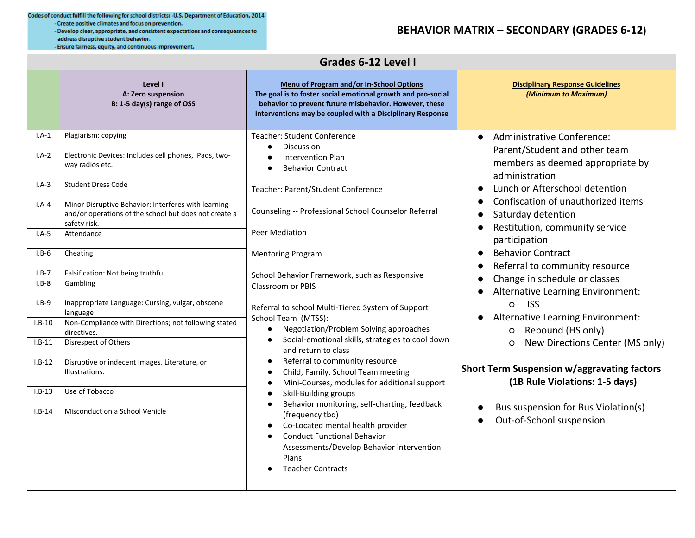Codes of conduct fulfill the following for school districts: - U.S. Department of Education, 2014 - Create positive climates and focus on prevention.

- Develop clear, appropriate, and consistent expectations and consequesnces to address disruptive student behavior. - Ensure fairness, equity, and continuous improvement.

## **BEHAVIOR MATRIX – SECONDARY (GRADES 6-12)**

|                               | Grades 6-12 Level I                                                                                                                                |                                                                                                                                                                                                                                                                                                                                                                                                                                                                                                                                                                                                                                                                          |                                                                                                                                                                                                                                                                                                                                                                                                                                                                                                                                                                                                                                                                                                         |
|-------------------------------|----------------------------------------------------------------------------------------------------------------------------------------------------|--------------------------------------------------------------------------------------------------------------------------------------------------------------------------------------------------------------------------------------------------------------------------------------------------------------------------------------------------------------------------------------------------------------------------------------------------------------------------------------------------------------------------------------------------------------------------------------------------------------------------------------------------------------------------|---------------------------------------------------------------------------------------------------------------------------------------------------------------------------------------------------------------------------------------------------------------------------------------------------------------------------------------------------------------------------------------------------------------------------------------------------------------------------------------------------------------------------------------------------------------------------------------------------------------------------------------------------------------------------------------------------------|
|                               | Level I<br>A: Zero suspension<br>B: 1-5 day(s) range of OSS                                                                                        | Menu of Program and/or In-School Options<br>The goal is to foster social emotional growth and pro-social<br>behavior to prevent future misbehavior. However, these<br>interventions may be coupled with a Disciplinary Response                                                                                                                                                                                                                                                                                                                                                                                                                                          | <b>Disciplinary Response Guidelines</b><br>(Minimum to Maximum)                                                                                                                                                                                                                                                                                                                                                                                                                                                                                                                                                                                                                                         |
| $I.A-1$<br>$I.A-2$            | Plagiarism: copying<br>Electronic Devices: Includes cell phones, iPads, two-<br>way radios etc.                                                    | <b>Teacher: Student Conference</b><br><b>Discussion</b><br><b>Intervention Plan</b><br><b>Behavior Contract</b><br>Teacher: Parent/Student Conference<br>Counseling -- Professional School Counselor Referral                                                                                                                                                                                                                                                                                                                                                                                                                                                            | Administrative Conference:<br>Parent/Student and other team<br>members as deemed appropriate by<br>administration<br>Lunch or Afterschool detention<br>Confiscation of unauthorized items<br>Saturday detention<br>Restitution, community service<br>participation<br><b>Behavior Contract</b><br>Referral to community resource<br>Change in schedule or classes<br>Alternative Learning Environment:<br><b>ISS</b><br>$\circ$<br>Alternative Learning Environment:<br>Rebound (HS only)<br>$\circ$<br>New Directions Center (MS only)<br>O<br><b>Short Term Suspension w/aggravating factors</b><br>(1B Rule Violations: 1-5 days)<br>Bus suspension for Bus Violation(s)<br>Out-of-School suspension |
| $I.A-3$<br>$I.A-4$            | Student Dress Code<br>Minor Disruptive Behavior: Interferes with learning<br>and/or operations of the school but does not create a<br>safety risk. |                                                                                                                                                                                                                                                                                                                                                                                                                                                                                                                                                                                                                                                                          |                                                                                                                                                                                                                                                                                                                                                                                                                                                                                                                                                                                                                                                                                                         |
| $I.A-5$<br>$I.B-6$            | Attendance<br>Cheating                                                                                                                             | Peer Mediation<br><b>Mentoring Program</b>                                                                                                                                                                                                                                                                                                                                                                                                                                                                                                                                                                                                                               |                                                                                                                                                                                                                                                                                                                                                                                                                                                                                                                                                                                                                                                                                                         |
| $I.B-7$<br>$I.B-8$<br>$I.B-9$ | Falsification: Not being truthful.<br>Gambling<br>Inappropriate Language: Cursing, vulgar, obscene                                                 | School Behavior Framework, such as Responsive<br><b>Classroom or PBIS</b><br>Referral to school Multi-Tiered System of Support<br>School Team (MTSS):<br>Negotiation/Problem Solving approaches<br>$\bullet$<br>Social-emotional skills, strategies to cool down<br>and return to class<br>Referral to community resource<br>Child, Family, School Team meeting<br>Mini-Courses, modules for additional support<br>Skill-Building groups<br>Behavior monitoring, self-charting, feedback<br>(frequency tbd)<br>Co-Located mental health provider<br><b>Conduct Functional Behavior</b><br>Assessments/Develop Behavior intervention<br>Plans<br><b>Teacher Contracts</b> |                                                                                                                                                                                                                                                                                                                                                                                                                                                                                                                                                                                                                                                                                                         |
| $I.B-10$<br>$I.B-11$          | language<br>Non-Compliance with Directions; not following stated<br>directives.<br>Disrespect of Others                                            |                                                                                                                                                                                                                                                                                                                                                                                                                                                                                                                                                                                                                                                                          |                                                                                                                                                                                                                                                                                                                                                                                                                                                                                                                                                                                                                                                                                                         |
| $I.B-12$                      | Disruptive or indecent Images, Literature, or<br>Illustrations.                                                                                    |                                                                                                                                                                                                                                                                                                                                                                                                                                                                                                                                                                                                                                                                          |                                                                                                                                                                                                                                                                                                                                                                                                                                                                                                                                                                                                                                                                                                         |
| $I.B-13$<br>$I.B-14$          | Use of Tobacco<br>Misconduct on a School Vehicle                                                                                                   |                                                                                                                                                                                                                                                                                                                                                                                                                                                                                                                                                                                                                                                                          |                                                                                                                                                                                                                                                                                                                                                                                                                                                                                                                                                                                                                                                                                                         |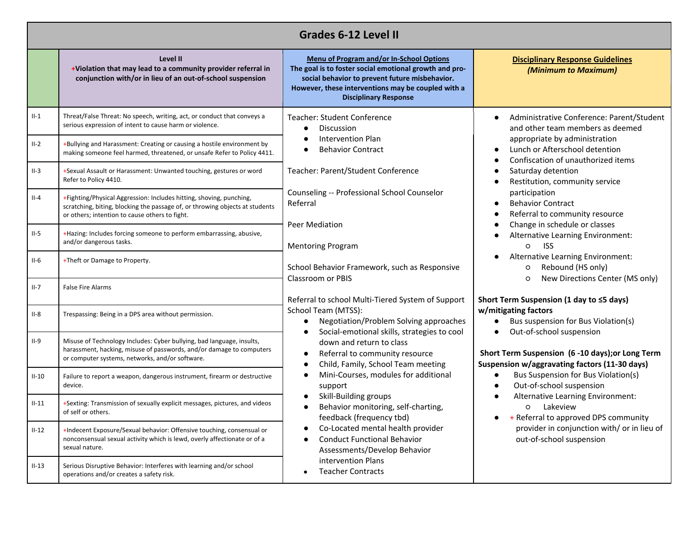| <b>Grades 6-12 Level II</b> |                                                                                                                                                                                                       |                                                                                                                                                                                                                                                                                                                                                                                                                                                                                                                                                                                                                                                                                                                                                                                                                                                                                                                                                                                                                                                                                                                                                                                                                                                                                                                                                                                                                                                                                            |                                                                                                                                                                                                                      |  |
|-----------------------------|-------------------------------------------------------------------------------------------------------------------------------------------------------------------------------------------------------|--------------------------------------------------------------------------------------------------------------------------------------------------------------------------------------------------------------------------------------------------------------------------------------------------------------------------------------------------------------------------------------------------------------------------------------------------------------------------------------------------------------------------------------------------------------------------------------------------------------------------------------------------------------------------------------------------------------------------------------------------------------------------------------------------------------------------------------------------------------------------------------------------------------------------------------------------------------------------------------------------------------------------------------------------------------------------------------------------------------------------------------------------------------------------------------------------------------------------------------------------------------------------------------------------------------------------------------------------------------------------------------------------------------------------------------------------------------------------------------------|----------------------------------------------------------------------------------------------------------------------------------------------------------------------------------------------------------------------|--|
|                             | Level II<br>+Violation that may lead to a community provider referral in<br>conjunction with/or in lieu of an out-of-school suspension                                                                | <b>Menu of Program and/or In-School Options</b><br>The goal is to foster social emotional growth and pro-<br>social behavior to prevent future misbehavior.<br>However, these interventions may be coupled with a<br><b>Disciplinary Response</b>                                                                                                                                                                                                                                                                                                                                                                                                                                                                                                                                                                                                                                                                                                                                                                                                                                                                                                                                                                                                                                                                                                                                                                                                                                          | <b>Disciplinary Response Guidelines</b><br>(Minimum to Maximum)                                                                                                                                                      |  |
| $II-1$                      | Threat/False Threat: No speech, writing, act, or conduct that conveys a<br>serious expression of intent to cause harm or violence.                                                                    | Teacher: Student Conference<br>Discussion<br>appropriate by administration<br><b>Intervention Plan</b><br>Lunch or Afterschool detention<br><b>Behavior Contract</b><br>Teacher: Parent/Student Conference<br>Saturday detention<br>Restitution, community service<br>Counseling -- Professional School Counselor<br>participation<br><b>Behavior Contract</b><br>Referral<br>Referral to community resource<br><b>Peer Mediation</b><br>Change in schedule or classes<br>$\circ$<br><b>ISS</b><br><b>Mentoring Program</b><br>Rebound (HS only)<br>School Behavior Framework, such as Responsive<br>$\circ$<br><b>Classroom or PBIS</b><br>New Directions Center (MS only)<br>O<br>Referral to school Multi-Tiered System of Support<br>Short Term Suspension (1 day to ≤5 days)<br>w/mitigating factors<br>School Team (MTSS):<br>Negotiation/Problem Solving approaches<br>Social-emotional skills, strategies to cool<br>Out-of-school suspension<br>down and return to class<br>Referral to community resource<br>Child, Family, School Team meeting<br>Mini-Courses, modules for additional<br>Out-of-school suspension<br>support<br><b>Skill-Building groups</b><br>Behavior monitoring, self-charting,<br>o Lakeview<br>+ Referral to approved DPS community<br>feedback (frequency tbd)<br>Co-Located mental health provider<br>out-of-school suspension<br><b>Conduct Functional Behavior</b><br>Assessments/Develop Behavior<br>intervention Plans<br><b>Teacher Contracts</b> | Administrative Conference: Parent/Student<br>and other team members as deemed<br>Confiscation of unauthorized items<br>Alternative Learning Environment:                                                             |  |
| $II-2$                      | +Bullying and Harassment: Creating or causing a hostile environment by<br>making someone feel harmed, threatened, or unsafe Refer to Policy 4411.                                                     |                                                                                                                                                                                                                                                                                                                                                                                                                                                                                                                                                                                                                                                                                                                                                                                                                                                                                                                                                                                                                                                                                                                                                                                                                                                                                                                                                                                                                                                                                            |                                                                                                                                                                                                                      |  |
| $II-3$                      | +Sexual Assault or Harassment: Unwanted touching, gestures or word<br>Refer to Policy 4410.                                                                                                           |                                                                                                                                                                                                                                                                                                                                                                                                                                                                                                                                                                                                                                                                                                                                                                                                                                                                                                                                                                                                                                                                                                                                                                                                                                                                                                                                                                                                                                                                                            |                                                                                                                                                                                                                      |  |
| $II-4$                      | +Fighting/Physical Aggression: Includes hitting, shoving, punching,<br>scratching, biting, blocking the passage of, or throwing objects at students<br>or others; intention to cause others to fight. |                                                                                                                                                                                                                                                                                                                                                                                                                                                                                                                                                                                                                                                                                                                                                                                                                                                                                                                                                                                                                                                                                                                                                                                                                                                                                                                                                                                                                                                                                            |                                                                                                                                                                                                                      |  |
| $II-5$                      | +Hazing: Includes forcing someone to perform embarrassing, abusive,<br>and/or dangerous tasks.                                                                                                        |                                                                                                                                                                                                                                                                                                                                                                                                                                                                                                                                                                                                                                                                                                                                                                                                                                                                                                                                                                                                                                                                                                                                                                                                                                                                                                                                                                                                                                                                                            |                                                                                                                                                                                                                      |  |
| $II-6$                      | +Theft or Damage to Property.                                                                                                                                                                         |                                                                                                                                                                                                                                                                                                                                                                                                                                                                                                                                                                                                                                                                                                                                                                                                                                                                                                                                                                                                                                                                                                                                                                                                                                                                                                                                                                                                                                                                                            | Alternative Learning Environment:                                                                                                                                                                                    |  |
| $II-7$                      | <b>False Fire Alarms</b>                                                                                                                                                                              |                                                                                                                                                                                                                                                                                                                                                                                                                                                                                                                                                                                                                                                                                                                                                                                                                                                                                                                                                                                                                                                                                                                                                                                                                                                                                                                                                                                                                                                                                            | Bus suspension for Bus Violation(s)<br>Short Term Suspension (6 -10 days); or Long Term<br>Suspension w/aggravating factors (11-30 days)<br>Bus Suspension for Bus Violation(s)<br>Alternative Learning Environment: |  |
| $II-8$                      | Trespassing: Being in a DPS area without permission.                                                                                                                                                  |                                                                                                                                                                                                                                                                                                                                                                                                                                                                                                                                                                                                                                                                                                                                                                                                                                                                                                                                                                                                                                                                                                                                                                                                                                                                                                                                                                                                                                                                                            |                                                                                                                                                                                                                      |  |
| $II-9$                      | Misuse of Technology Includes: Cyber bullying, bad language, insults,<br>harassment, hacking, misuse of passwords, and/or damage to computers<br>or computer systems, networks, and/or software.      |                                                                                                                                                                                                                                                                                                                                                                                                                                                                                                                                                                                                                                                                                                                                                                                                                                                                                                                                                                                                                                                                                                                                                                                                                                                                                                                                                                                                                                                                                            |                                                                                                                                                                                                                      |  |
| $II-10$                     | Failure to report a weapon, dangerous instrument, firearm or destructive<br>device.                                                                                                                   |                                                                                                                                                                                                                                                                                                                                                                                                                                                                                                                                                                                                                                                                                                                                                                                                                                                                                                                                                                                                                                                                                                                                                                                                                                                                                                                                                                                                                                                                                            |                                                                                                                                                                                                                      |  |
| $II-11$                     | +Sexting: Transmission of sexually explicit messages, pictures, and videos<br>of self or others.                                                                                                      |                                                                                                                                                                                                                                                                                                                                                                                                                                                                                                                                                                                                                                                                                                                                                                                                                                                                                                                                                                                                                                                                                                                                                                                                                                                                                                                                                                                                                                                                                            |                                                                                                                                                                                                                      |  |
| $II-12$                     | +Indecent Exposure/Sexual behavior: Offensive touching, consensual or<br>nonconsensual sexual activity which is lewd, overly affectionate or of a<br>sexual nature.                                   |                                                                                                                                                                                                                                                                                                                                                                                                                                                                                                                                                                                                                                                                                                                                                                                                                                                                                                                                                                                                                                                                                                                                                                                                                                                                                                                                                                                                                                                                                            | provider in conjunction with/ or in lieu of                                                                                                                                                                          |  |
| $II-13$                     | Serious Disruptive Behavior: Interferes with learning and/or school<br>operations and/or creates a safety risk.                                                                                       |                                                                                                                                                                                                                                                                                                                                                                                                                                                                                                                                                                                                                                                                                                                                                                                                                                                                                                                                                                                                                                                                                                                                                                                                                                                                                                                                                                                                                                                                                            |                                                                                                                                                                                                                      |  |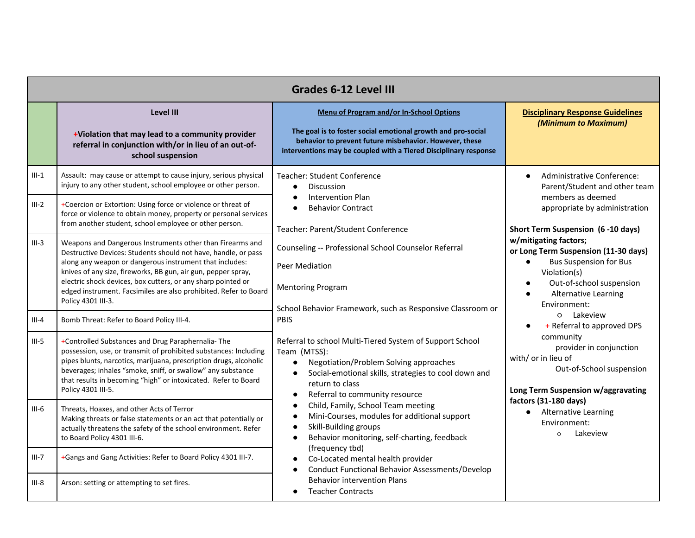| <b>Grades 6-12 Level III</b> |                                                                                                                                                                                                                                                                                                                                                                                                                   |                                                                                                                                                                                                                                                                                                                                                                                                                                                                                                                                                                                                                                                                                                                                                                                                                                                                                                                           |                                                                                                                                                                                                                                                                                                                                                                                                                                                                                                                         |
|------------------------------|-------------------------------------------------------------------------------------------------------------------------------------------------------------------------------------------------------------------------------------------------------------------------------------------------------------------------------------------------------------------------------------------------------------------|---------------------------------------------------------------------------------------------------------------------------------------------------------------------------------------------------------------------------------------------------------------------------------------------------------------------------------------------------------------------------------------------------------------------------------------------------------------------------------------------------------------------------------------------------------------------------------------------------------------------------------------------------------------------------------------------------------------------------------------------------------------------------------------------------------------------------------------------------------------------------------------------------------------------------|-------------------------------------------------------------------------------------------------------------------------------------------------------------------------------------------------------------------------------------------------------------------------------------------------------------------------------------------------------------------------------------------------------------------------------------------------------------------------------------------------------------------------|
|                              | Level III<br>+Violation that may lead to a community provider<br>referral in conjunction with/or in lieu of an out-of-<br>school suspension                                                                                                                                                                                                                                                                       | <b>Menu of Program and/or In-School Options</b><br>The goal is to foster social emotional growth and pro-social<br>behavior to prevent future misbehavior. However, these<br>interventions may be coupled with a Tiered Disciplinary response                                                                                                                                                                                                                                                                                                                                                                                                                                                                                                                                                                                                                                                                             | <b>Disciplinary Response Guidelines</b><br>(Minimum to Maximum)                                                                                                                                                                                                                                                                                                                                                                                                                                                         |
| $III-1$                      | Assault: may cause or attempt to cause injury, serious physical<br>injury to any other student, school employee or other person.                                                                                                                                                                                                                                                                                  | <b>Teacher: Student Conference</b><br><b>Discussion</b><br>$\bullet$                                                                                                                                                                                                                                                                                                                                                                                                                                                                                                                                                                                                                                                                                                                                                                                                                                                      | Administrative Conference:<br>$\bullet$<br>Parent/Student and other team                                                                                                                                                                                                                                                                                                                                                                                                                                                |
| $III-2$                      | +Coercion or Extortion: Using force or violence or threat of<br>force or violence to obtain money, property or personal services<br>from another student, school employee or other person.                                                                                                                                                                                                                        | Intervention Plan<br>$\bullet$<br><b>Behavior Contract</b><br>$\bullet$                                                                                                                                                                                                                                                                                                                                                                                                                                                                                                                                                                                                                                                                                                                                                                                                                                                   | members as deemed<br>appropriate by administration                                                                                                                                                                                                                                                                                                                                                                                                                                                                      |
| $III-3$                      | Weapons and Dangerous Instruments other than Firearms and<br>Destructive Devices: Students should not have, handle, or pass<br>along any weapon or dangerous instrument that includes:<br>knives of any size, fireworks, BB gun, air gun, pepper spray,<br>electric shock devices, box cutters, or any sharp pointed or<br>edged instrument. Facsimiles are also prohibited. Refer to Board<br>Policy 4301 III-3. | Teacher: Parent/Student Conference<br>Counseling -- Professional School Counselor Referral<br>Peer Mediation<br><b>Mentoring Program</b><br>School Behavior Framework, such as Responsive Classroom or<br>PBIS<br>Referral to school Multi-Tiered System of Support School<br>Team (MTSS):<br>Negotiation/Problem Solving approaches<br>$\bullet$<br>Social-emotional skills, strategies to cool down and<br>$\bullet$<br>return to class<br>Referral to community resource<br>$\bullet$<br>Child, Family, School Team meeting<br>$\bullet$<br>Mini-Courses, modules for additional support<br>$\bullet$<br>Skill-Building groups<br>$\bullet$<br>Behavior monitoring, self-charting, feedback<br>$\bullet$<br>(frequency tbd)<br>Co-Located mental health provider<br>$\bullet$<br><b>Conduct Functional Behavior Assessments/Develop</b><br>$\bullet$<br><b>Behavior intervention Plans</b><br><b>Teacher Contracts</b> | Short Term Suspension (6-10 days)<br>w/mitigating factors;<br>or Long Term Suspension (11-30 days)<br><b>Bus Suspension for Bus</b><br>Violation(s)<br>Out-of-school suspension<br><b>Alternative Learning</b><br>Environment:<br>o Lakeview<br>+ Referral to approved DPS<br>community<br>provider in conjunction<br>with/ or in lieu of<br>Out-of-School suspension<br>Long Term Suspension w/aggravating<br>factors (31-180 days)<br><b>Alternative Learning</b><br>$\bullet$<br>Environment:<br>Lakeview<br>$\circ$ |
| $III - 4$                    | Bomb Threat: Refer to Board Policy III-4.                                                                                                                                                                                                                                                                                                                                                                         |                                                                                                                                                                                                                                                                                                                                                                                                                                                                                                                                                                                                                                                                                                                                                                                                                                                                                                                           |                                                                                                                                                                                                                                                                                                                                                                                                                                                                                                                         |
| $III-5$                      | +Controlled Substances and Drug Paraphernalia-The<br>possession, use, or transmit of prohibited substances: Including<br>pipes blunts, narcotics, marijuana, prescription drugs, alcoholic<br>beverages; inhales "smoke, sniff, or swallow" any substance<br>that results in becoming "high" or intoxicated. Refer to Board<br>Policy 4301 III-5.                                                                 |                                                                                                                                                                                                                                                                                                                                                                                                                                                                                                                                                                                                                                                                                                                                                                                                                                                                                                                           |                                                                                                                                                                                                                                                                                                                                                                                                                                                                                                                         |
| $III-6$                      | Threats, Hoaxes, and other Acts of Terror<br>Making threats or false statements or an act that potentially or<br>actually threatens the safety of the school environment. Refer<br>to Board Policy 4301 III-6.                                                                                                                                                                                                    |                                                                                                                                                                                                                                                                                                                                                                                                                                                                                                                                                                                                                                                                                                                                                                                                                                                                                                                           |                                                                                                                                                                                                                                                                                                                                                                                                                                                                                                                         |
| $III - 7$                    | +Gangs and Gang Activities: Refer to Board Policy 4301 III-7.                                                                                                                                                                                                                                                                                                                                                     |                                                                                                                                                                                                                                                                                                                                                                                                                                                                                                                                                                                                                                                                                                                                                                                                                                                                                                                           |                                                                                                                                                                                                                                                                                                                                                                                                                                                                                                                         |
| $III-8$                      | Arson: setting or attempting to set fires.                                                                                                                                                                                                                                                                                                                                                                        |                                                                                                                                                                                                                                                                                                                                                                                                                                                                                                                                                                                                                                                                                                                                                                                                                                                                                                                           |                                                                                                                                                                                                                                                                                                                                                                                                                                                                                                                         |